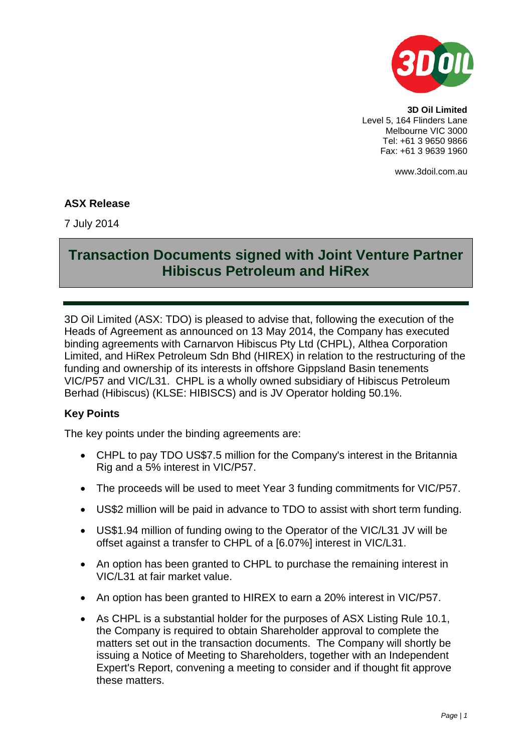

**3D Oil Limited** Level 5, 164 Flinders Lane Melbourne VIC 3000 Tel: +61 3 9650 9866 Fax: +61 3 9639 1960

www.3doil.com.au

#### **ASX Release**

7 July 2014

# **Transaction Documents signed with Joint Venture Partner Hibiscus Petroleum and HiRex**

3D Oil Limited (ASX: TDO) is pleased to advise that, following the execution of the Heads of Agreement as announced on 13 May 2014, the Company has executed binding agreements with Carnarvon Hibiscus Pty Ltd (CHPL), Althea Corporation Limited, and HiRex Petroleum Sdn Bhd (HIREX) in relation to the restructuring of the funding and ownership of its interests in offshore Gippsland Basin tenements VIC/P57 and VIC/L31. CHPL is a wholly owned subsidiary of Hibiscus Petroleum Berhad (Hibiscus) (KLSE: HIBISCS) and is JV Operator holding 50.1%.

## **Key Points**

The key points under the binding agreements are:

- CHPL to pay TDO US\$7.5 million for the Company's interest in the Britannia Rig and a 5% interest in VIC/P57.
- The proceeds will be used to meet Year 3 funding commitments for VIC/P57.
- US\$2 million will be paid in advance to TDO to assist with short term funding.
- US\$1.94 million of funding owing to the Operator of the VIC/L31 JV will be offset against a transfer to CHPL of a [6.07%] interest in VIC/L31.
- An option has been granted to CHPL to purchase the remaining interest in VIC/L31 at fair market value.
- An option has been granted to HIREX to earn a 20% interest in VIC/P57.
- As CHPL is a substantial holder for the purposes of ASX Listing Rule 10.1, the Company is required to obtain Shareholder approval to complete the matters set out in the transaction documents. The Company will shortly be issuing a Notice of Meeting to Shareholders, together with an Independent Expert's Report, convening a meeting to consider and if thought fit approve these matters.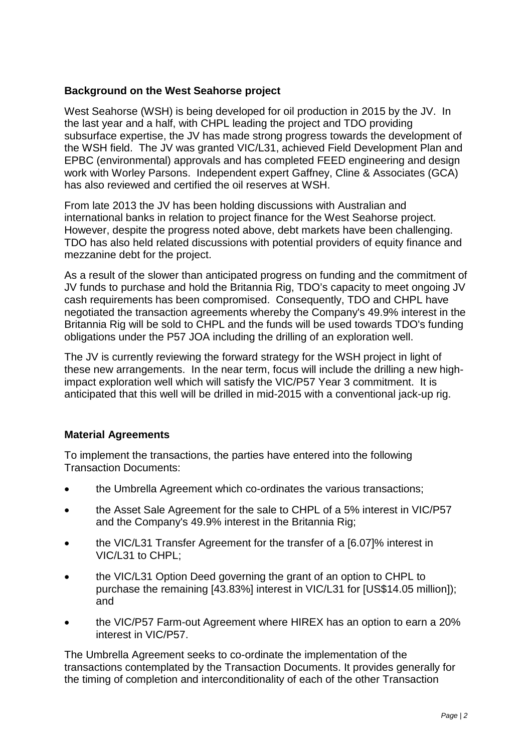## **Background on the West Seahorse project**

West Seahorse (WSH) is being developed for oil production in 2015 by the JV. In the last year and a half, with CHPL leading the project and TDO providing subsurface expertise, the JV has made strong progress towards the development of the WSH field. The JV was granted VIC/L31, achieved Field Development Plan and EPBC (environmental) approvals and has completed FEED engineering and design work with Worley Parsons. Independent expert Gaffney, Cline & Associates (GCA) has also reviewed and certified the oil reserves at WSH.

From late 2013 the JV has been holding discussions with Australian and international banks in relation to project finance for the West Seahorse project. However, despite the progress noted above, debt markets have been challenging. TDO has also held related discussions with potential providers of equity finance and mezzanine debt for the project.

As a result of the slower than anticipated progress on funding and the commitment of JV funds to purchase and hold the Britannia Rig, TDO's capacity to meet ongoing JV cash requirements has been compromised. Consequently, TDO and CHPL have negotiated the transaction agreements whereby the Company's 49.9% interest in the Britannia Rig will be sold to CHPL and the funds will be used towards TDO's funding obligations under the P57 JOA including the drilling of an exploration well.

The JV is currently reviewing the forward strategy for the WSH project in light of these new arrangements. In the near term, focus will include the drilling a new highimpact exploration well which will satisfy the VIC/P57 Year 3 commitment. It is anticipated that this well will be drilled in mid-2015 with a conventional jack-up rig.

## **Material Agreements**

To implement the transactions, the parties have entered into the following Transaction Documents:

- the Umbrella Agreement which co-ordinates the various transactions;
- the Asset Sale Agreement for the sale to CHPL of a 5% interest in VIC/P57 and the Company's 49.9% interest in the Britannia Rig;
- the VIC/L31 Transfer Agreement for the transfer of a [6.07]% interest in VIC/L31 to CHPL;
- the VIC/L31 Option Deed governing the grant of an option to CHPL to purchase the remaining [43.83%] interest in VIC/L31 for [US\$14.05 million]); and
- the VIC/P57 Farm-out Agreement where HIREX has an option to earn a 20% interest in VIC/P57.

The Umbrella Agreement seeks to co-ordinate the implementation of the transactions contemplated by the Transaction Documents. It provides generally for the timing of completion and interconditionality of each of the other Transaction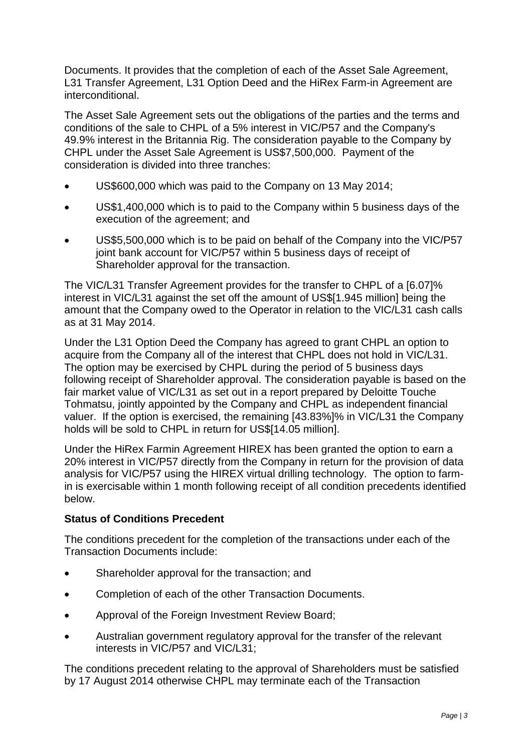Documents. It provides that the completion of each of the Asset Sale Agreement, L31 Transfer Agreement, L31 Option Deed and the HiRex Farm-in Agreement are interconditional.

The Asset Sale Agreement sets out the obligations of the parties and the terms and conditions of the sale to CHPL of a 5% interest in VIC/P57 and the Company's 49.9% interest in the Britannia Rig. The consideration payable to the Company by CHPL under the Asset Sale Agreement is US\$7,500,000. Payment of the consideration is divided into three tranches:

- US\$600,000 which was paid to the Company on 13 May 2014;
- US\$1,400,000 which is to paid to the Company within 5 business days of the execution of the agreement; and
- US\$5,500,000 which is to be paid on behalf of the Company into the VIC/P57 joint bank account for VIC/P57 within 5 business days of receipt of Shareholder approval for the transaction.

The VIC/L31 Transfer Agreement provides for the transfer to CHPL of a [6.07]% interest in VIC/L31 against the set off the amount of US\$[1.945 million] being the amount that the Company owed to the Operator in relation to the VIC/L31 cash calls as at 31 May 2014.

Under the L31 Option Deed the Company has agreed to grant CHPL an option to acquire from the Company all of the interest that CHPL does not hold in VIC/L31. The option may be exercised by CHPL during the period of 5 business days following receipt of Shareholder approval. The consideration payable is based on the fair market value of VIC/L31 as set out in a report prepared by Deloitte Touche Tohmatsu, jointly appointed by the Company and CHPL as independent financial valuer. If the option is exercised, the remaining [43.83%]% in VIC/L31 the Company holds will be sold to CHPL in return for US\$[14.05 million].

Under the HiRex Farmin Agreement HIREX has been granted the option to earn a 20% interest in VIC/P57 directly from the Company in return for the provision of data analysis for VIC/P57 using the HIREX virtual drilling technology. The option to farmin is exercisable within 1 month following receipt of all condition precedents identified below.

## **Status of Conditions Precedent**

The conditions precedent for the completion of the transactions under each of the Transaction Documents include:

- Shareholder approval for the transaction; and
- Completion of each of the other Transaction Documents.
- Approval of the Foreign Investment Review Board;
- Australian government regulatory approval for the transfer of the relevant interests in VIC/P57 and VIC/L31;

The conditions precedent relating to the approval of Shareholders must be satisfied by 17 August 2014 otherwise CHPL may terminate each of the Transaction